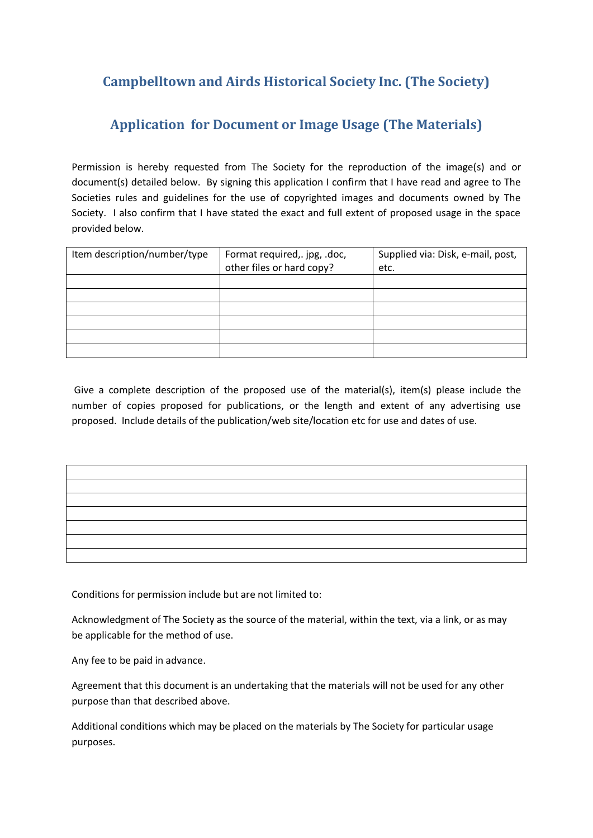## **Campbelltown and Airds Historical Society Inc. (The Society)**

## **Application for Document or Image Usage (The Materials)**

Permission is hereby requested from The Society for the reproduction of the image(s) and or document(s) detailed below. By signing this application I confirm that I have read and agree to The Societies rules and guidelines for the use of copyrighted images and documents owned by The Society. I also confirm that I have stated the exact and full extent of proposed usage in the space provided below.

| Item description/number/type | Format required, .jpg, .doc,<br>other files or hard copy? | Supplied via: Disk, e-mail, post,<br>etc. |
|------------------------------|-----------------------------------------------------------|-------------------------------------------|
|                              |                                                           |                                           |
|                              |                                                           |                                           |
|                              |                                                           |                                           |
|                              |                                                           |                                           |
|                              |                                                           |                                           |
|                              |                                                           |                                           |

Give a complete description of the proposed use of the material(s), item(s) please include the number of copies proposed for publications, or the length and extent of any advertising use proposed. Include details of the publication/web site/location etc for use and dates of use.

| <u> 1989 - Johann Barn, mars an t-Amerikaansk politiker (</u> |  |  |
|---------------------------------------------------------------|--|--|
|                                                               |  |  |
|                                                               |  |  |
|                                                               |  |  |
|                                                               |  |  |

Conditions for permission include but are not limited to:

Acknowledgment of The Society as the source of the material, within the text, via a link, or as may be applicable for the method of use.

Any fee to be paid in advance.

Agreement that this document is an undertaking that the materials will not be used for any other purpose than that described above.

Additional conditions which may be placed on the materials by The Society for particular usage purposes.